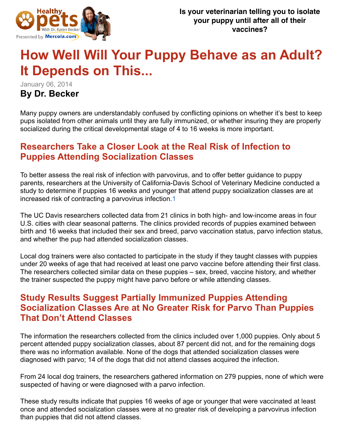

# **How Well Will Your Puppy Behave as an Adult? It Depends on This...**

January 06, 2014

#### **By Dr. Becker**

Many puppy owners are understandably confused by conflicting opinions on whether it's best to keep pups isolated from other animals until they are fully immunized, or whether insuring they are properly socialized during the critical developmental stage of 4 to 16 weeks is more important.

### **Researchers Take a Closer Look at the Real Risk of Infection to Puppies Attending Socialization Classes**

To better assess the real risk of infection with parvovirus, and to offer better guidance to puppy parents, researchers at the University of California-Davis School of Veterinary Medicine conducted a study to determine if puppies 16 weeks and younger that attend puppy socialization classes are at increased risk of contracting a parvovirus infection.1

The UC Davis researchers collected data from 21 clinics in both high- and low-income areas in four U.S. cities with clear seasonal patterns. The clinics provided records of puppies examined between birth and 16 weeks that included their sex and breed, parvo vaccination status, parvo infection status, and whether the pup had attended socialization classes.

Local dog trainers were also contacted to participate in the study if they taught classes with puppies under 20 weeks of age that had received at least one parvo vaccine before attending their first class. The researchers collected similar data on these puppies – sex, breed, vaccine history, and whether the trainer suspected the puppy might have parvo before or while attending classes.

#### **Study Results Suggest Partially Immunized Puppies Attending Socialization Classes Are at No Greater Risk for Parvo Than Puppies That Don't Attend Classes**

The information the researchers collected from the clinics included over 1,000 puppies. Only about 5 percent attended puppy socialization classes, about 87 percent did not, and for the remaining dogs there was no information available. None of the dogs that attended socialization classes were diagnosed with parvo; 14 of the dogs that did not attend classes acquired the infection.

From 24 local dog trainers, the researchers gathered information on 279 puppies, none of which were suspected of having or were diagnosed with a parvo infection.

These study results indicate that puppies 16 weeks of age or younger that were vaccinated at least once and attended socialization classes were at no greater risk of developing a parvovirus infection than puppies that did not attend classes.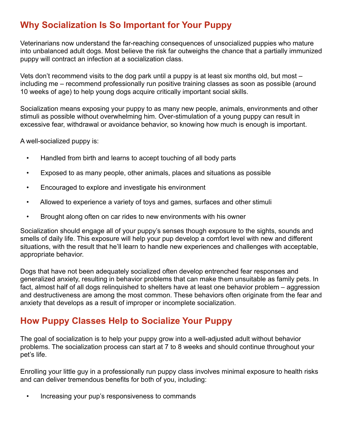## **Why Socialization Is So Important for Your Puppy**

Veterinarians now understand the far-reaching consequences of unsocialized puppies who mature into unbalanced adult dogs. Most believe the risk far outweighs the chance that a partially immunized puppy will contract an infection at a socialization class.

Vets don't recommend visits to the dog park until a puppy is at least six months old, but most – including me – recommend professionally run positive training classes as soon as possible (around 10 weeks of age) to help young dogs acquire critically important social skills.

Socialization means exposing your puppy to as many new people, animals, environments and other stimuli as possible without overwhelming him. Over-stimulation of a young puppy can result in excessive fear, withdrawal or avoidance behavior, so knowing how much is enough is important.

A well-socialized puppy is:

- Handled from birth and learns to accept touching of all body parts
- Exposed to as many people, other animals, places and situations as possible
- Encouraged to explore and investigate his environment
- Allowed to experience a variety of toys and games, surfaces and other stimuli
- Brought along often on car rides to new environments with his owner

Socialization should engage all of your puppy's senses though exposure to the sights, sounds and smells of daily life. This exposure will help your pup develop a comfort level with new and different situations, with the result that he'll learn to handle new experiences and challenges with acceptable, appropriate behavior.

Dogs that have not been adequately socialized often develop entrenched fear responses and generalized anxiety, resulting in behavior problems that can make them unsuitable as family pets. In fact, almost half of all dogs relinquished to shelters have at least one behavior problem – aggression and destructiveness are among the most common. These behaviors often originate from the fear and anxiety that develops as a result of improper or incomplete socialization.

### **How Puppy Classes Help to Socialize Your Puppy**

The goal of socialization is to help your puppy grow into a well-adjusted adult without behavior problems. The socialization process can start at 7 to 8 weeks and should continue throughout your pet's life.

Enrolling your little guy in a professionally run puppy class involves minimal exposure to health risks and can deliver tremendous benefits for both of you, including:

• Increasing your pup's responsiveness to commands